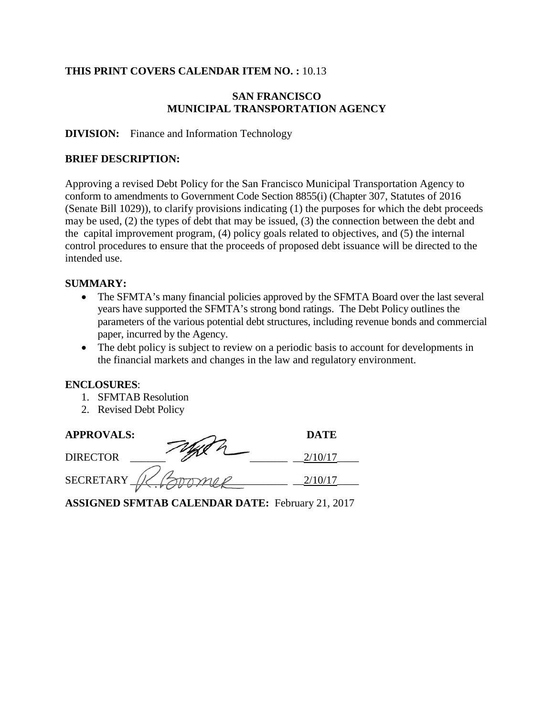#### **THIS PRINT COVERS CALENDAR ITEM NO. :** 10.13

#### **SAN FRANCISCO MUNICIPAL TRANSPORTATION AGENCY**

#### **DIVISION:** Finance and Information Technology

#### **BRIEF DESCRIPTION:**

Approving a revised Debt Policy for the San Francisco Municipal Transportation Agency to conform to amendments to Government Code Section 8855(i) (Chapter 307, Statutes of 2016 (Senate Bill 1029)), to clarify provisions indicating (1) the purposes for which the debt proceeds may be used, (2) the types of debt that may be issued, (3) the connection between the debt and the capital improvement program, (4) policy goals related to objectives, and (5) the internal control procedures to ensure that the proceeds of proposed debt issuance will be directed to the intended use.

#### **SUMMARY:**

- The SFMTA's many financial policies approved by the SFMTA Board over the last several years have supported the SFMTA's strong bond ratings. The Debt Policy outlines the parameters of the various potential debt structures, including revenue bonds and commercial paper, incurred by the Agency.
- The debt policy is subject to review on a periodic basis to account for developments in the financial markets and changes in the law and regulatory environment.

#### **ENCLOSURES**:

- 1. SFMTAB Resolution
- 2. Revised Debt Policy

# **APPROVALS: DATE** DIRECTOR  $\overline{\mathscr{L}}$   $\overline{\mathscr{L}}$   $\overline{\mathscr{L}}$   $\overline{\mathscr{L}}$   $\overline{\mathscr{L}}$   $\overline{\mathscr{L}}$   $\overline{\mathscr{L}}$   $\overline{\mathscr{L}}$   $\overline{\mathscr{L}}$   $\overline{\mathscr{L}}$   $\overline{\mathscr{L}}$   $\overline{\mathscr{L}}$   $\overline{\mathscr{L}}$   $\overline{\mathscr{L}}$   $\overline{\mathscr{L}}$   $\overline{\mathscr{L}}$   $\overline{\mathscr{L}}$   $\overline{\mathscr{$ SECRETARY  $N \swarrow N$

**ASSIGNED SFMTAB CALENDAR DATE:** February 21, 2017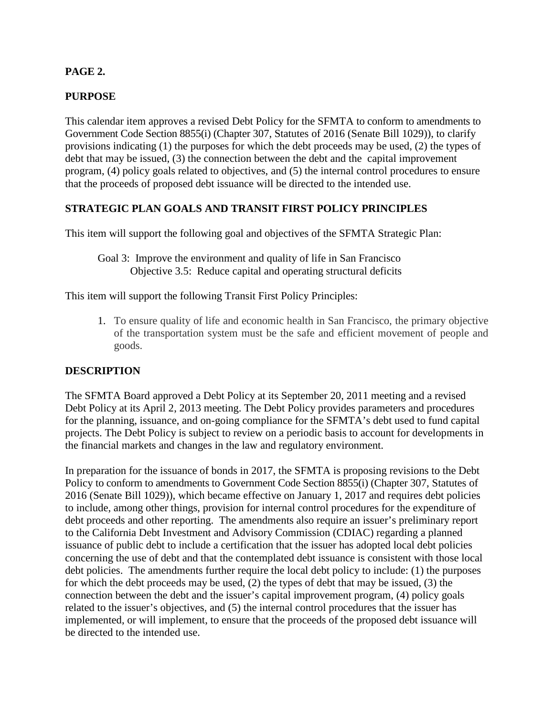## **PAGE 2.**

## **PURPOSE**

This calendar item approves a revised Debt Policy for the SFMTA to conform to amendments to Government Code Section 8855(i) (Chapter 307, Statutes of 2016 (Senate Bill 1029)), to clarify provisions indicating (1) the purposes for which the debt proceeds may be used, (2) the types of debt that may be issued, (3) the connection between the debt and the capital improvement program, (4) policy goals related to objectives, and (5) the internal control procedures to ensure that the proceeds of proposed debt issuance will be directed to the intended use.

#### **STRATEGIC PLAN GOALS AND TRANSIT FIRST POLICY PRINCIPLES**

This item will support the following goal and objectives of the SFMTA Strategic Plan:

#### Goal 3: Improve the environment and quality of life in San Francisco Objective 3.5: Reduce capital and operating structural deficits

This item will support the following Transit First Policy Principles:

1. To ensure quality of life and economic health in San Francisco, the primary objective of the transportation system must be the safe and efficient movement of people and goods.

#### **DESCRIPTION**

The SFMTA Board approved a Debt Policy at its September 20, 2011 meeting and a revised Debt Policy at its April 2, 2013 meeting. The Debt Policy provides parameters and procedures for the planning, issuance, and on-going compliance for the SFMTA's debt used to fund capital projects. The Debt Policy is subject to review on a periodic basis to account for developments in the financial markets and changes in the law and regulatory environment.

In preparation for the issuance of bonds in 2017, the SFMTA is proposing revisions to the Debt Policy to conform to amendments to Government Code Section 8855(i) (Chapter 307, Statutes of 2016 (Senate Bill 1029)), which became effective on January 1, 2017 and requires debt policies to include, among other things, provision for internal control procedures for the expenditure of debt proceeds and other reporting. The amendments also require an issuer's preliminary report to the California Debt Investment and Advisory Commission (CDIAC) regarding a planned issuance of public debt to include a certification that the issuer has adopted local debt policies concerning the use of debt and that the contemplated debt issuance is consistent with those local debt policies. The amendments further require the local debt policy to include: (1) the purposes for which the debt proceeds may be used, (2) the types of debt that may be issued, (3) the connection between the debt and the issuer's capital improvement program, (4) policy goals related to the issuer's objectives, and (5) the internal control procedures that the issuer has implemented, or will implement, to ensure that the proceeds of the proposed debt issuance will be directed to the intended use.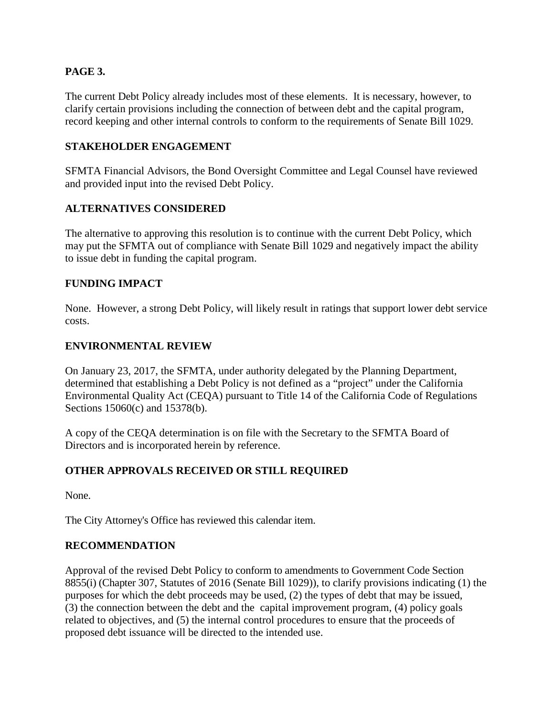## **PAGE 3.**

The current Debt Policy already includes most of these elements. It is necessary, however, to clarify certain provisions including the connection of between debt and the capital program, record keeping and other internal controls to conform to the requirements of Senate Bill 1029.

#### **STAKEHOLDER ENGAGEMENT**

SFMTA Financial Advisors, the Bond Oversight Committee and Legal Counsel have reviewed and provided input into the revised Debt Policy.

#### **ALTERNATIVES CONSIDERED**

The alternative to approving this resolution is to continue with the current Debt Policy, which may put the SFMTA out of compliance with Senate Bill 1029 and negatively impact the ability to issue debt in funding the capital program.

#### **FUNDING IMPACT**

None. However, a strong Debt Policy, will likely result in ratings that support lower debt service costs.

#### **ENVIRONMENTAL REVIEW**

On January 23, 2017, the SFMTA, under authority delegated by the Planning Department, determined that establishing a Debt Policy is not defined as a "project" under the California Environmental Quality Act (CEQA) pursuant to Title 14 of the California Code of Regulations Sections 15060(c) and 15378(b).

A copy of the CEQA determination is on file with the Secretary to the SFMTA Board of Directors and is incorporated herein by reference.

#### **OTHER APPROVALS RECEIVED OR STILL REQUIRED**

None.

The City Attorney's Office has reviewed this calendar item.

#### **RECOMMENDATION**

Approval of the revised Debt Policy to conform to amendments to Government Code Section 8855(i) (Chapter 307, Statutes of 2016 (Senate Bill 1029)), to clarify provisions indicating (1) the purposes for which the debt proceeds may be used, (2) the types of debt that may be issued, (3) the connection between the debt and the capital improvement program, (4) policy goals related to objectives, and (5) the internal control procedures to ensure that the proceeds of proposed debt issuance will be directed to the intended use.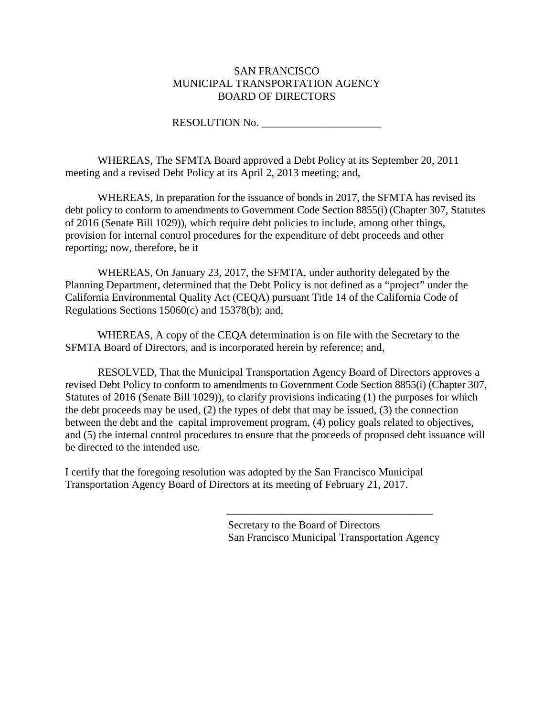#### SAN FRANCISCO MUNICIPAL TRANSPORTATION AGENCY BOARD OF DIRECTORS

RESOLUTION No. \_\_\_\_\_\_\_\_\_\_\_\_\_\_\_\_\_\_\_\_\_\_

WHEREAS, The SFMTA Board approved a Debt Policy at its September 20, 2011 meeting and a revised Debt Policy at its April 2, 2013 meeting; and,

WHEREAS, In preparation for the issuance of bonds in 2017, the SFMTA has revised its debt policy to conform to amendments to Government Code Section 8855(i) (Chapter 307, Statutes of 2016 (Senate Bill 1029)), which require debt policies to include, among other things, provision for internal control procedures for the expenditure of debt proceeds and other reporting; now, therefore, be it

WHEREAS, On January 23, 2017, the SFMTA, under authority delegated by the Planning Department, determined that the Debt Policy is not defined as a "project" under the California Environmental Quality Act (CEQA) pursuant Title 14 of the California Code of Regulations Sections 15060(c) and 15378(b); and,

WHEREAS, A copy of the CEQA determination is on file with the Secretary to the SFMTA Board of Directors, and is incorporated herein by reference; and,

RESOLVED, That the Municipal Transportation Agency Board of Directors approves a revised Debt Policy to conform to amendments to Government Code Section 8855(i) (Chapter 307, Statutes of 2016 (Senate Bill 1029)), to clarify provisions indicating (1) the purposes for which the debt proceeds may be used, (2) the types of debt that may be issued, (3) the connection between the debt and the capital improvement program, (4) policy goals related to objectives, and (5) the internal control procedures to ensure that the proceeds of proposed debt issuance will be directed to the intended use.

I certify that the foregoing resolution was adopted by the San Francisco Municipal Transportation Agency Board of Directors at its meeting of February 21, 2017.

> Secretary to the Board of Directors San Francisco Municipal Transportation Agency

\_\_\_\_\_\_\_\_\_\_\_\_\_\_\_\_\_\_\_\_\_\_\_\_\_\_\_\_\_\_\_\_\_\_\_\_\_\_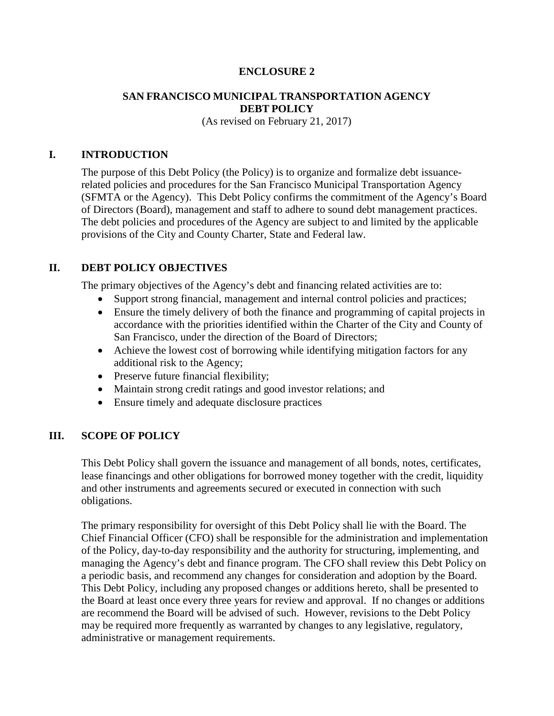#### **ENCLOSURE 2**

#### **SAN FRANCISCO MUNICIPAL TRANSPORTATION AGENCY DEBT POLICY**

(As revised on February 21, 2017)

#### **I. INTRODUCTION**

The purpose of this Debt Policy (the Policy) is to organize and formalize debt issuancerelated policies and procedures for the San Francisco Municipal Transportation Agency (SFMTA or the Agency). This Debt Policy confirms the commitment of the Agency's Board of Directors (Board), management and staff to adhere to sound debt management practices. The debt policies and procedures of the Agency are subject to and limited by the applicable provisions of the City and County Charter, State and Federal law.

#### **II. DEBT POLICY OBJECTIVES**

The primary objectives of the Agency's debt and financing related activities are to:

- Support strong financial, management and internal control policies and practices;
- Ensure the timely delivery of both the finance and programming of capital projects in accordance with the priorities identified within the Charter of the City and County of San Francisco, under the direction of the Board of Directors;
- Achieve the lowest cost of borrowing while identifying mitigation factors for any additional risk to the Agency;
- Preserve future financial flexibility;
- Maintain strong credit ratings and good investor relations; and
- Ensure timely and adequate disclosure practices

#### **III. SCOPE OF POLICY**

This Debt Policy shall govern the issuance and management of all bonds, notes, certificates, lease financings and other obligations for borrowed money together with the credit, liquidity and other instruments and agreements secured or executed in connection with such obligations.

The primary responsibility for oversight of this Debt Policy shall lie with the Board. The Chief Financial Officer (CFO) shall be responsible for the administration and implementation of the Policy, day-to-day responsibility and the authority for structuring, implementing, and managing the Agency's debt and finance program. The CFO shall review this Debt Policy on a periodic basis, and recommend any changes for consideration and adoption by the Board. This Debt Policy, including any proposed changes or additions hereto, shall be presented to the Board at least once every three years for review and approval. If no changes or additions are recommend the Board will be advised of such. However, revisions to the Debt Policy may be required more frequently as warranted by changes to any legislative, regulatory, administrative or management requirements.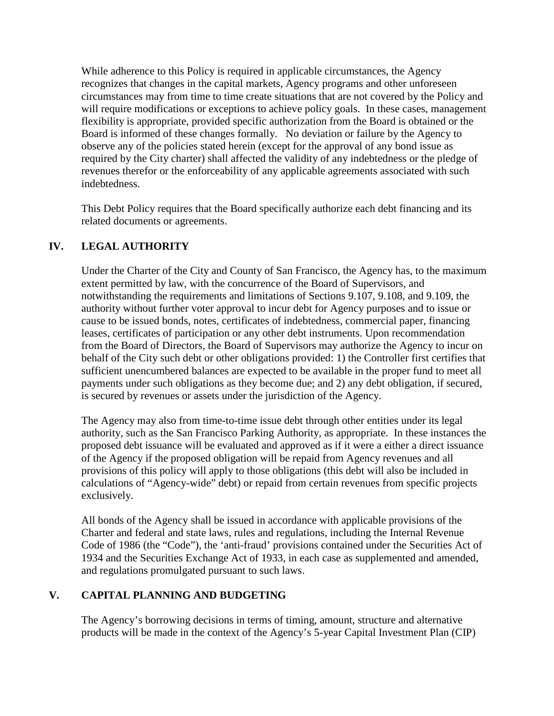While adherence to this Policy is required in applicable circumstances, the Agency recognizes that changes in the capital markets, Agency programs and other unforeseen circumstances may from time to time create situations that are not covered by the Policy and will require modifications or exceptions to achieve policy goals. In these cases, management flexibility is appropriate, provided specific authorization from the Board is obtained or the Board is informed of these changes formally. No deviation or failure by the Agency to observe any of the policies stated herein (except for the approval of any bond issue as required by the City charter) shall affected the validity of any indebtedness or the pledge of revenues therefor or the enforceability of any applicable agreements associated with such indebtedness.

This Debt Policy requires that the Board specifically authorize each debt financing and its related documents or agreements.

## **IV. LEGAL AUTHORITY**

Under the Charter of the City and County of San Francisco, the Agency has, to the maximum extent permitted by law, with the concurrence of the Board of Supervisors, and notwithstanding the requirements and limitations of Sections 9.107, 9.108, and 9.109, the authority without further voter approval to incur debt for Agency purposes and to issue or cause to be issued bonds, notes, certificates of indebtedness, commercial paper, financing leases, certificates of participation or any other debt instruments. Upon recommendation from the Board of Directors, the Board of Supervisors may authorize the Agency to incur on behalf of the City such debt or other obligations provided: 1) the Controller first certifies that sufficient unencumbered balances are expected to be available in the proper fund to meet all payments under such obligations as they become due; and 2) any debt obligation, if secured, is secured by revenues or assets under the jurisdiction of the Agency.

The Agency may also from time-to-time issue debt through other entities under its legal authority, such as the San Francisco Parking Authority, as appropriate. In these instances the proposed debt issuance will be evaluated and approved as if it were a either a direct issuance of the Agency if the proposed obligation will be repaid from Agency revenues and all provisions of this policy will apply to those obligations (this debt will also be included in calculations of "Agency-wide" debt) or repaid from certain revenues from specific projects exclusively.

All bonds of the Agency shall be issued in accordance with applicable provisions of the Charter and federal and state laws, rules and regulations, including the Internal Revenue Code of 1986 (the "Code"), the 'anti-fraud' provisions contained under the Securities Act of 1934 and the Securities Exchange Act of 1933, in each case as supplemented and amended, and regulations promulgated pursuant to such laws.

#### **V. CAPITAL PLANNING AND BUDGETING**

The Agency's borrowing decisions in terms of timing, amount, structure and alternative products will be made in the context of the Agency's 5-year Capital Investment Plan (CIP)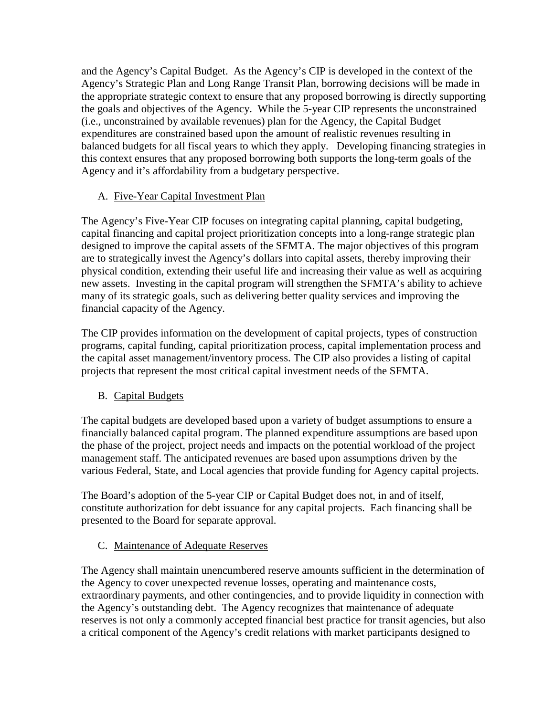and the Agency's Capital Budget. As the Agency's CIP is developed in the context of the Agency's Strategic Plan and Long Range Transit Plan, borrowing decisions will be made in the appropriate strategic context to ensure that any proposed borrowing is directly supporting the goals and objectives of the Agency. While the 5-year CIP represents the unconstrained (i.e., unconstrained by available revenues) plan for the Agency, the Capital Budget expenditures are constrained based upon the amount of realistic revenues resulting in balanced budgets for all fiscal years to which they apply. Developing financing strategies in this context ensures that any proposed borrowing both supports the long-term goals of the Agency and it's affordability from a budgetary perspective.

# A. Five-Year Capital Investment Plan

The Agency's Five-Year CIP focuses on integrating capital planning, capital budgeting, capital financing and capital project prioritization concepts into a long-range strategic plan designed to improve the capital assets of the SFMTA. The major objectives of this program are to strategically invest the Agency's dollars into capital assets, thereby improving their physical condition, extending their useful life and increasing their value as well as acquiring new assets. Investing in the capital program will strengthen the SFMTA's ability to achieve many of its strategic goals, such as delivering better quality services and improving the financial capacity of the Agency.

The CIP provides information on the development of capital projects, types of construction programs, capital funding, capital prioritization process, capital implementation process and the capital asset management/inventory process. The CIP also provides a listing of capital projects that represent the most critical capital investment needs of the SFMTA.

# B. Capital Budgets

The capital budgets are developed based upon a variety of budget assumptions to ensure a financially balanced capital program. The planned expenditure assumptions are based upon the phase of the project, project needs and impacts on the potential workload of the project management staff. The anticipated revenues are based upon assumptions driven by the various Federal, State, and Local agencies that provide funding for Agency capital projects.

The Board's adoption of the 5-year CIP or Capital Budget does not, in and of itself, constitute authorization for debt issuance for any capital projects. Each financing shall be presented to the Board for separate approval.

# C. Maintenance of Adequate Reserves

The Agency shall maintain unencumbered reserve amounts sufficient in the determination of the Agency to cover unexpected revenue losses, operating and maintenance costs, extraordinary payments, and other contingencies, and to provide liquidity in connection with the Agency's outstanding debt. The Agency recognizes that maintenance of adequate reserves is not only a commonly accepted financial best practice for transit agencies, but also a critical component of the Agency's credit relations with market participants designed to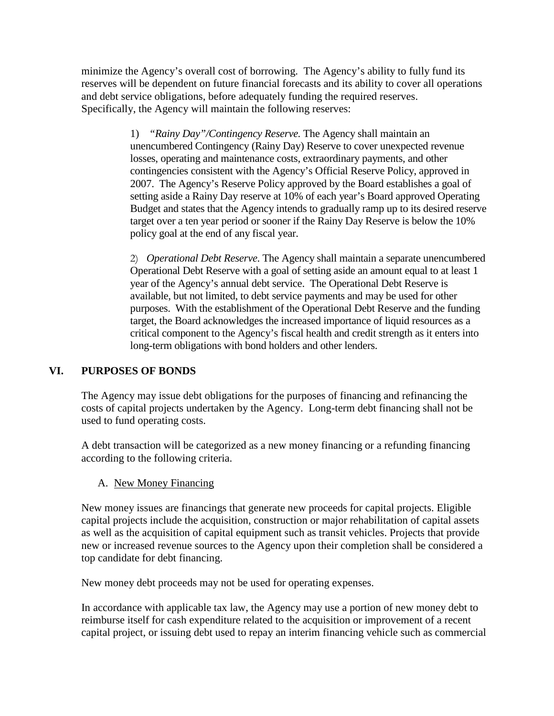minimize the Agency's overall cost of borrowing. The Agency's ability to fully fund its reserves will be dependent on future financial forecasts and its ability to cover all operations and debt service obligations, before adequately funding the required reserves. Specifically, the Agency will maintain the following reserves:

> 1) *"Rainy Day"/Contingency Reserve.* The Agency shall maintain an unencumbered Contingency (Rainy Day) Reserve to cover unexpected revenue losses, operating and maintenance costs, extraordinary payments, and other contingencies consistent with the Agency's Official Reserve Policy, approved in 2007. The Agency's Reserve Policy approved by the Board establishes a goal of setting aside a Rainy Day reserve at 10% of each year's Board approved Operating Budget and states that the Agency intends to gradually ramp up to its desired reserve target over a ten year period or sooner if the Rainy Day Reserve is below the 10% policy goal at the end of any fiscal year.

> 2) *Operational Debt Reserve*. The Agency shall maintain a separate unencumbered Operational Debt Reserve with a goal of setting aside an amount equal to at least 1 year of the Agency's annual debt service. The Operational Debt Reserve is available, but not limited, to debt service payments and may be used for other purposes. With the establishment of the Operational Debt Reserve and the funding target, the Board acknowledges the increased importance of liquid resources as a critical component to the Agency's fiscal health and credit strength as it enters into long-term obligations with bond holders and other lenders.

#### **VI. PURPOSES OF BONDS**

The Agency may issue debt obligations for the purposes of financing and refinancing the costs of capital projects undertaken by the Agency. Long-term debt financing shall not be used to fund operating costs.

A debt transaction will be categorized as a new money financing or a refunding financing according to the following criteria.

#### A. New Money Financing

New money issues are financings that generate new proceeds for capital projects. Eligible capital projects include the acquisition, construction or major rehabilitation of capital assets as well as the acquisition of capital equipment such as transit vehicles. Projects that provide new or increased revenue sources to the Agency upon their completion shall be considered a top candidate for debt financing.

New money debt proceeds may not be used for operating expenses.

In accordance with applicable tax law, the Agency may use a portion of new money debt to reimburse itself for cash expenditure related to the acquisition or improvement of a recent capital project, or issuing debt used to repay an interim financing vehicle such as commercial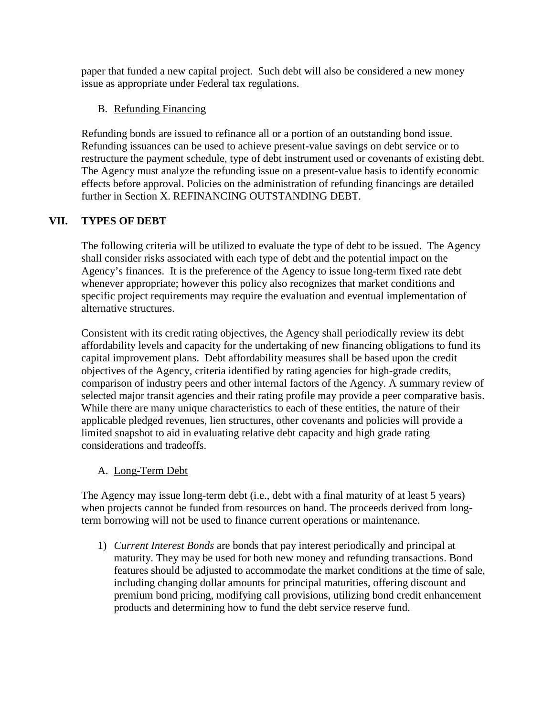paper that funded a new capital project. Such debt will also be considered a new money issue as appropriate under Federal tax regulations.

# B. Refunding Financing

Refunding bonds are issued to refinance all or a portion of an outstanding bond issue. Refunding issuances can be used to achieve present-value savings on debt service or to restructure the payment schedule, type of debt instrument used or covenants of existing debt. The Agency must analyze the refunding issue on a present-value basis to identify economic effects before approval. Policies on the administration of refunding financings are detailed further in Section X. REFINANCING OUTSTANDING DEBT.

# **VII. TYPES OF DEBT**

The following criteria will be utilized to evaluate the type of debt to be issued. The Agency shall consider risks associated with each type of debt and the potential impact on the Agency's finances. It is the preference of the Agency to issue long-term fixed rate debt whenever appropriate; however this policy also recognizes that market conditions and specific project requirements may require the evaluation and eventual implementation of alternative structures.

Consistent with its credit rating objectives, the Agency shall periodically review its debt affordability levels and capacity for the undertaking of new financing obligations to fund its capital improvement plans. Debt affordability measures shall be based upon the credit objectives of the Agency, criteria identified by rating agencies for high-grade credits, comparison of industry peers and other internal factors of the Agency. A summary review of selected major transit agencies and their rating profile may provide a peer comparative basis. While there are many unique characteristics to each of these entities, the nature of their applicable pledged revenues, lien structures, other covenants and policies will provide a limited snapshot to aid in evaluating relative debt capacity and high grade rating considerations and tradeoffs.

#### A. Long-Term Debt

The Agency may issue long-term debt (i.e., debt with a final maturity of at least 5 years) when projects cannot be funded from resources on hand. The proceeds derived from longterm borrowing will not be used to finance current operations or maintenance.

1) *Current Interest Bonds* are bonds that pay interest periodically and principal at maturity. They may be used for both new money and refunding transactions. Bond features should be adjusted to accommodate the market conditions at the time of sale, including changing dollar amounts for principal maturities, offering discount and premium bond pricing, modifying call provisions, utilizing bond credit enhancement products and determining how to fund the debt service reserve fund.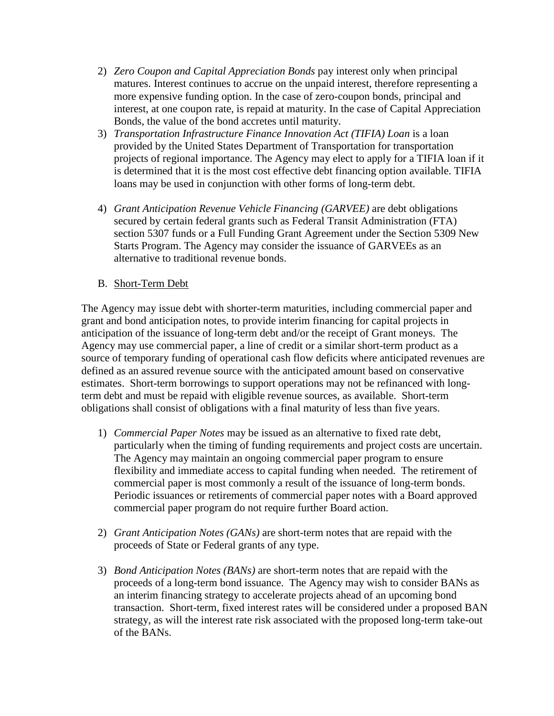- 2) *Zero Coupon and Capital Appreciation Bonds* pay interest only when principal matures. Interest continues to accrue on the unpaid interest, therefore representing a more expensive funding option. In the case of zero-coupon bonds, principal and interest, at one coupon rate, is repaid at maturity. In the case of Capital Appreciation Bonds, the value of the bond accretes until maturity.
- 3) *Transportation Infrastructure Finance Innovation Act (TIFIA) Loan* is a loan provided by the United States Department of Transportation for transportation projects of regional importance. The Agency may elect to apply for a TIFIA loan if it is determined that it is the most cost effective debt financing option available. TIFIA loans may be used in conjunction with other forms of long-term debt.
- 4) *Grant Anticipation Revenue Vehicle Financing (GARVEE)* are debt obligations secured by certain federal grants such as Federal Transit Administration (FTA) section 5307 funds or a Full Funding Grant Agreement under the Section 5309 New Starts Program. The Agency may consider the issuance of GARVEEs as an alternative to traditional revenue bonds.

#### B. Short-Term Debt

The Agency may issue debt with shorter-term maturities, including commercial paper and grant and bond anticipation notes, to provide interim financing for capital projects in anticipation of the issuance of long-term debt and/or the receipt of Grant moneys. The Agency may use commercial paper, a line of credit or a similar short-term product as a source of temporary funding of operational cash flow deficits where anticipated revenues are defined as an assured revenue source with the anticipated amount based on conservative estimates. Short-term borrowings to support operations may not be refinanced with longterm debt and must be repaid with eligible revenue sources, as available. Short-term obligations shall consist of obligations with a final maturity of less than five years.

- 1) *Commercial Paper Notes* may be issued as an alternative to fixed rate debt, particularly when the timing of funding requirements and project costs are uncertain. The Agency may maintain an ongoing commercial paper program to ensure flexibility and immediate access to capital funding when needed. The retirement of commercial paper is most commonly a result of the issuance of long-term bonds. Periodic issuances or retirements of commercial paper notes with a Board approved commercial paper program do not require further Board action.
- 2) *Grant Anticipation Notes (GANs)* are short-term notes that are repaid with the proceeds of State or Federal grants of any type.
- 3) *Bond Anticipation Notes (BANs)* are short-term notes that are repaid with the proceeds of a long-term bond issuance. The Agency may wish to consider BANs as an interim financing strategy to accelerate projects ahead of an upcoming bond transaction. Short-term, fixed interest rates will be considered under a proposed BAN strategy, as will the interest rate risk associated with the proposed long-term take-out of the BANs.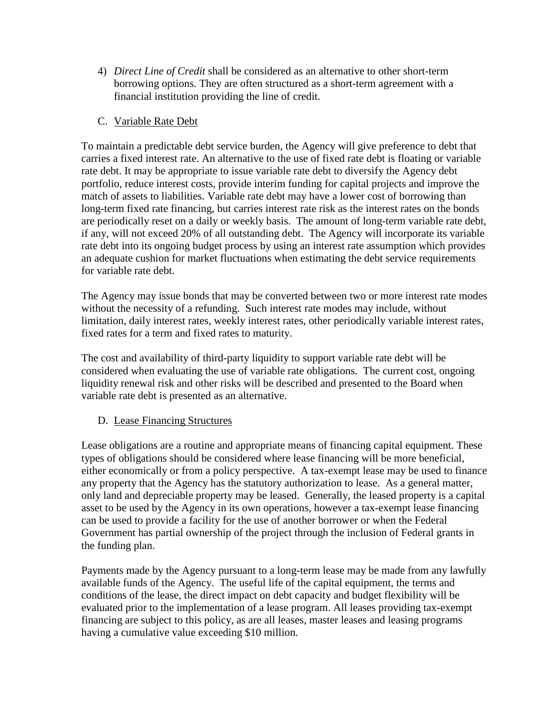4) *Direct Line of Credit* shall be considered as an alternative to other short-term borrowing options. They are often structured as a short-term agreement with a financial institution providing the line of credit.

## C. Variable Rate Debt

To maintain a predictable debt service burden, the Agency will give preference to debt that carries a fixed interest rate. An alternative to the use of fixed rate debt is floating or variable rate debt. It may be appropriate to issue variable rate debt to diversify the Agency debt portfolio, reduce interest costs, provide interim funding for capital projects and improve the match of assets to liabilities. Variable rate debt may have a lower cost of borrowing than long-term fixed rate financing, but carries interest rate risk as the interest rates on the bonds are periodically reset on a daily or weekly basis. The amount of long-term variable rate debt, if any, will not exceed 20% of all outstanding debt. The Agency will incorporate its variable rate debt into its ongoing budget process by using an interest rate assumption which provides an adequate cushion for market fluctuations when estimating the debt service requirements for variable rate debt.

The Agency may issue bonds that may be converted between two or more interest rate modes without the necessity of a refunding. Such interest rate modes may include, without limitation, daily interest rates, weekly interest rates, other periodically variable interest rates, fixed rates for a term and fixed rates to maturity.

The cost and availability of third-party liquidity to support variable rate debt will be considered when evaluating the use of variable rate obligations. The current cost, ongoing liquidity renewal risk and other risks will be described and presented to the Board when variable rate debt is presented as an alternative.

#### D. Lease Financing Structures

Lease obligations are a routine and appropriate means of financing capital equipment. These types of obligations should be considered where lease financing will be more beneficial, either economically or from a policy perspective. A tax-exempt lease may be used to finance any property that the Agency has the statutory authorization to lease. As a general matter, only land and depreciable property may be leased. Generally, the leased property is a capital asset to be used by the Agency in its own operations, however a tax-exempt lease financing can be used to provide a facility for the use of another borrower or when the Federal Government has partial ownership of the project through the inclusion of Federal grants in the funding plan.

Payments made by the Agency pursuant to a long-term lease may be made from any lawfully available funds of the Agency. The useful life of the capital equipment, the terms and conditions of the lease, the direct impact on debt capacity and budget flexibility will be evaluated prior to the implementation of a lease program. All leases providing tax-exempt financing are subject to this policy, as are all leases, master leases and leasing programs having a cumulative value exceeding \$10 million.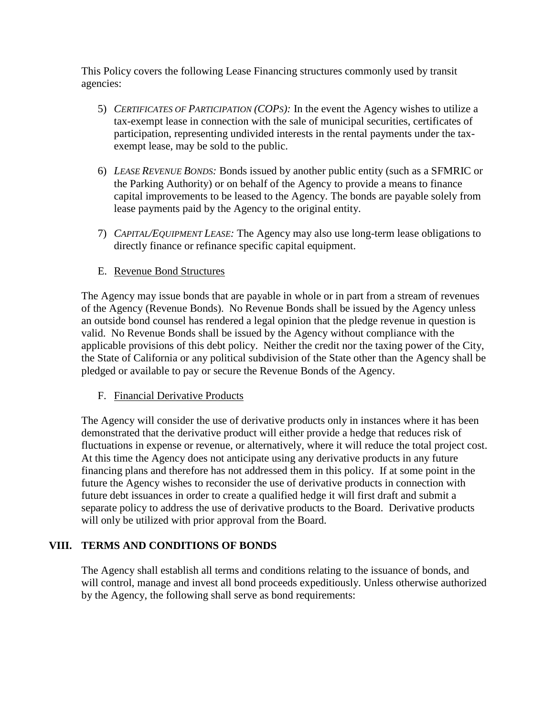This Policy covers the following Lease Financing structures commonly used by transit agencies:

- 5) *CERTIFICATES OF PARTICIPATION (COPS):* In the event the Agency wishes to utilize a tax-exempt lease in connection with the sale of municipal securities, certificates of participation, representing undivided interests in the rental payments under the taxexempt lease, may be sold to the public.
- 6) *LEASE REVENUE BONDS:* Bonds issued by another public entity (such as a SFMRIC or the Parking Authority) or on behalf of the Agency to provide a means to finance capital improvements to be leased to the Agency. The bonds are payable solely from lease payments paid by the Agency to the original entity.
- 7) *CAPITAL/EQUIPMENT LEASE:* The Agency may also use long-term lease obligations to directly finance or refinance specific capital equipment.
- E. Revenue Bond Structures

The Agency may issue bonds that are payable in whole or in part from a stream of revenues of the Agency (Revenue Bonds). No Revenue Bonds shall be issued by the Agency unless an outside bond counsel has rendered a legal opinion that the pledge revenue in question is valid. No Revenue Bonds shall be issued by the Agency without compliance with the applicable provisions of this debt policy. Neither the credit nor the taxing power of the City, the State of California or any political subdivision of the State other than the Agency shall be pledged or available to pay or secure the Revenue Bonds of the Agency.

#### F. Financial Derivative Products

The Agency will consider the use of derivative products only in instances where it has been demonstrated that the derivative product will either provide a hedge that reduces risk of fluctuations in expense or revenue, or alternatively, where it will reduce the total project cost. At this time the Agency does not anticipate using any derivative products in any future financing plans and therefore has not addressed them in this policy. If at some point in the future the Agency wishes to reconsider the use of derivative products in connection with future debt issuances in order to create a qualified hedge it will first draft and submit a separate policy to address the use of derivative products to the Board. Derivative products will only be utilized with prior approval from the Board.

#### **VIII. TERMS AND CONDITIONS OF BONDS**

The Agency shall establish all terms and conditions relating to the issuance of bonds, and will control, manage and invest all bond proceeds expeditiously. Unless otherwise authorized by the Agency, the following shall serve as bond requirements: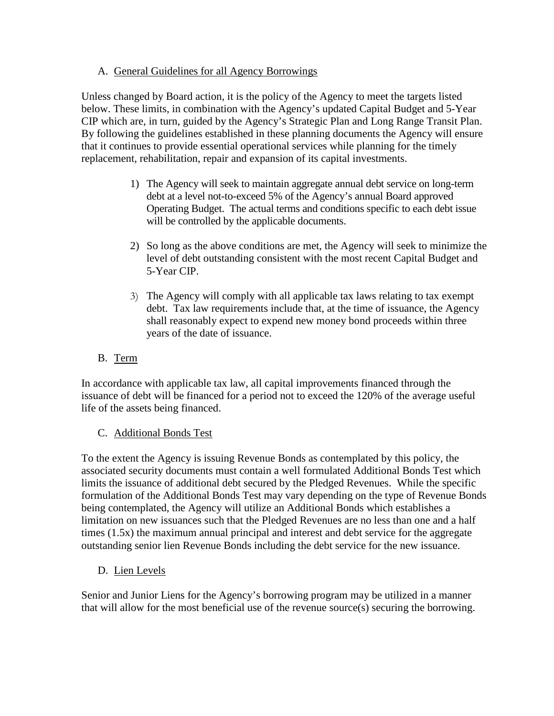## A. General Guidelines for all Agency Borrowings

Unless changed by Board action, it is the policy of the Agency to meet the targets listed below. These limits, in combination with the Agency's updated Capital Budget and 5-Year CIP which are, in turn, guided by the Agency's Strategic Plan and Long Range Transit Plan. By following the guidelines established in these planning documents the Agency will ensure that it continues to provide essential operational services while planning for the timely replacement, rehabilitation, repair and expansion of its capital investments.

- 1) The Agency will seek to maintain aggregate annual debt service on long-term debt at a level not-to-exceed 5% of the Agency's annual Board approved Operating Budget. The actual terms and conditions specific to each debt issue will be controlled by the applicable documents.
- 2) So long as the above conditions are met, the Agency will seek to minimize the level of debt outstanding consistent with the most recent Capital Budget and 5-Year CIP.
- 3) The Agency will comply with all applicable tax laws relating to tax exempt debt. Tax law requirements include that, at the time of issuance, the Agency shall reasonably expect to expend new money bond proceeds within three years of the date of issuance.

# B. Term

In accordance with applicable tax law, all capital improvements financed through the issuance of debt will be financed for a period not to exceed the 120% of the average useful life of the assets being financed.

#### C. Additional Bonds Test

To the extent the Agency is issuing Revenue Bonds as contemplated by this policy, the associated security documents must contain a well formulated Additional Bonds Test which limits the issuance of additional debt secured by the Pledged Revenues. While the specific formulation of the Additional Bonds Test may vary depending on the type of Revenue Bonds being contemplated, the Agency will utilize an Additional Bonds which establishes a limitation on new issuances such that the Pledged Revenues are no less than one and a half times (1.5x) the maximum annual principal and interest and debt service for the aggregate outstanding senior lien Revenue Bonds including the debt service for the new issuance.

D. Lien Levels

Senior and Junior Liens for the Agency's borrowing program may be utilized in a manner that will allow for the most beneficial use of the revenue source(s) securing the borrowing.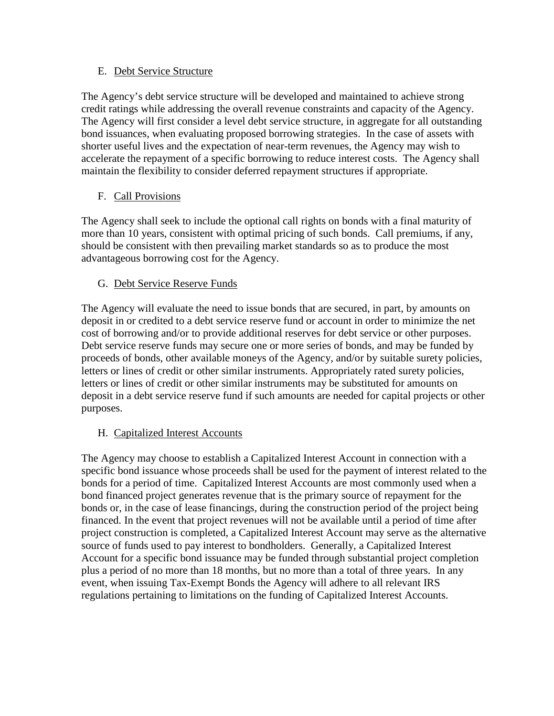#### E. Debt Service Structure

The Agency's debt service structure will be developed and maintained to achieve strong credit ratings while addressing the overall revenue constraints and capacity of the Agency. The Agency will first consider a level debt service structure, in aggregate for all outstanding bond issuances, when evaluating proposed borrowing strategies. In the case of assets with shorter useful lives and the expectation of near-term revenues, the Agency may wish to accelerate the repayment of a specific borrowing to reduce interest costs. The Agency shall maintain the flexibility to consider deferred repayment structures if appropriate.

## F. Call Provisions

The Agency shall seek to include the optional call rights on bonds with a final maturity of more than 10 years, consistent with optimal pricing of such bonds. Call premiums, if any, should be consistent with then prevailing market standards so as to produce the most advantageous borrowing cost for the Agency.

## G. Debt Service Reserve Funds

The Agency will evaluate the need to issue bonds that are secured, in part, by amounts on deposit in or credited to a debt service reserve fund or account in order to minimize the net cost of borrowing and/or to provide additional reserves for debt service or other purposes. Debt service reserve funds may secure one or more series of bonds, and may be funded by proceeds of bonds, other available moneys of the Agency, and/or by suitable surety policies, letters or lines of credit or other similar instruments. Appropriately rated surety policies, letters or lines of credit or other similar instruments may be substituted for amounts on deposit in a debt service reserve fund if such amounts are needed for capital projects or other purposes.

#### H. Capitalized Interest Accounts

The Agency may choose to establish a Capitalized Interest Account in connection with a specific bond issuance whose proceeds shall be used for the payment of interest related to the bonds for a period of time. Capitalized Interest Accounts are most commonly used when a bond financed project generates revenue that is the primary source of repayment for the bonds or, in the case of lease financings, during the construction period of the project being financed. In the event that project revenues will not be available until a period of time after project construction is completed, a Capitalized Interest Account may serve as the alternative source of funds used to pay interest to bondholders. Generally, a Capitalized Interest Account for a specific bond issuance may be funded through substantial project completion plus a period of no more than 18 months, but no more than a total of three years. In any event, when issuing Tax-Exempt Bonds the Agency will adhere to all relevant IRS regulations pertaining to limitations on the funding of Capitalized Interest Accounts.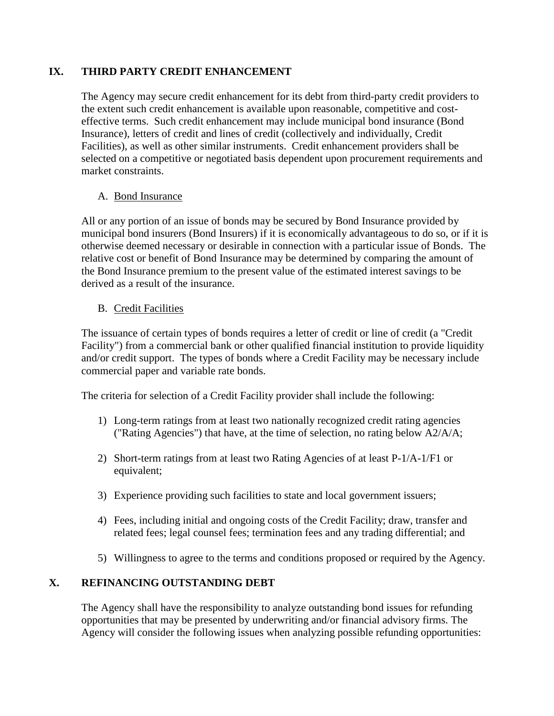## **IX. THIRD PARTY CREDIT ENHANCEMENT**

The Agency may secure credit enhancement for its debt from third-party credit providers to the extent such credit enhancement is available upon reasonable, competitive and costeffective terms. Such credit enhancement may include municipal bond insurance (Bond Insurance), letters of credit and lines of credit (collectively and individually, Credit Facilities), as well as other similar instruments. Credit enhancement providers shall be selected on a competitive or negotiated basis dependent upon procurement requirements and market constraints.

#### A. Bond Insurance

All or any portion of an issue of bonds may be secured by Bond Insurance provided by municipal bond insurers (Bond Insurers) if it is economically advantageous to do so, or if it is otherwise deemed necessary or desirable in connection with a particular issue of Bonds. The relative cost or benefit of Bond Insurance may be determined by comparing the amount of the Bond Insurance premium to the present value of the estimated interest savings to be derived as a result of the insurance.

## B. Credit Facilities

The issuance of certain types of bonds requires a letter of credit or line of credit (a "Credit Facility") from a commercial bank or other qualified financial institution to provide liquidity and/or credit support. The types of bonds where a Credit Facility may be necessary include commercial paper and variable rate bonds.

The criteria for selection of a Credit Facility provider shall include the following:

- 1) Long-term ratings from at least two nationally recognized credit rating agencies ("Rating Agencies") that have, at the time of selection, no rating below A2/A/A;
- 2) Short-term ratings from at least two Rating Agencies of at least P-1/A-1/F1 or equivalent;
- 3) Experience providing such facilities to state and local government issuers;
- 4) Fees, including initial and ongoing costs of the Credit Facility; draw, transfer and related fees; legal counsel fees; termination fees and any trading differential; and
- 5) Willingness to agree to the terms and conditions proposed or required by the Agency.

## **X. REFINANCING OUTSTANDING DEBT**

The Agency shall have the responsibility to analyze outstanding bond issues for refunding opportunities that may be presented by underwriting and/or financial advisory firms. The Agency will consider the following issues when analyzing possible refunding opportunities: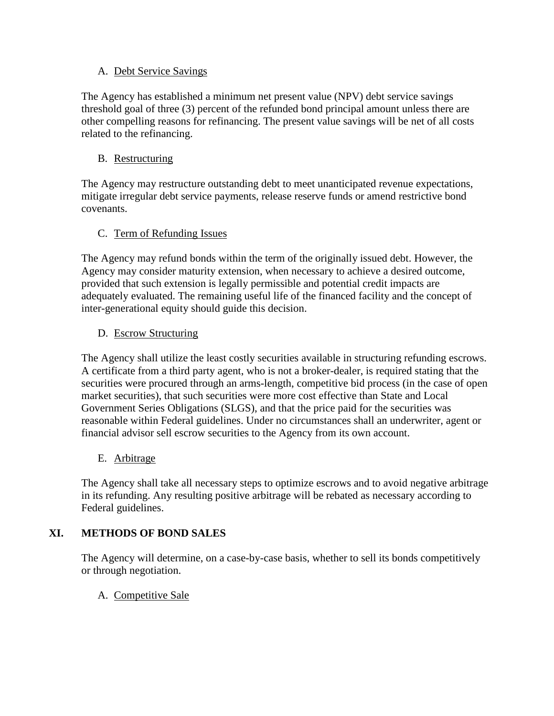#### A. Debt Service Savings

The Agency has established a minimum net present value (NPV) debt service savings threshold goal of three (3) percent of the refunded bond principal amount unless there are other compelling reasons for refinancing. The present value savings will be net of all costs related to the refinancing.

#### B. Restructuring

The Agency may restructure outstanding debt to meet unanticipated revenue expectations, mitigate irregular debt service payments, release reserve funds or amend restrictive bond covenants.

## C. Term of Refunding Issues

The Agency may refund bonds within the term of the originally issued debt. However, the Agency may consider maturity extension, when necessary to achieve a desired outcome, provided that such extension is legally permissible and potential credit impacts are adequately evaluated. The remaining useful life of the financed facility and the concept of inter-generational equity should guide this decision.

## D. Escrow Structuring

The Agency shall utilize the least costly securities available in structuring refunding escrows. A certificate from a third party agent, who is not a broker-dealer, is required stating that the securities were procured through an arms-length, competitive bid process (in the case of open market securities), that such securities were more cost effective than State and Local Government Series Obligations (SLGS), and that the price paid for the securities was reasonable within Federal guidelines. Under no circumstances shall an underwriter, agent or financial advisor sell escrow securities to the Agency from its own account.

#### E. Arbitrage

The Agency shall take all necessary steps to optimize escrows and to avoid negative arbitrage in its refunding. Any resulting positive arbitrage will be rebated as necessary according to Federal guidelines.

# **XI. METHODS OF BOND SALES**

The Agency will determine, on a case-by-case basis, whether to sell its bonds competitively or through negotiation.

A. Competitive Sale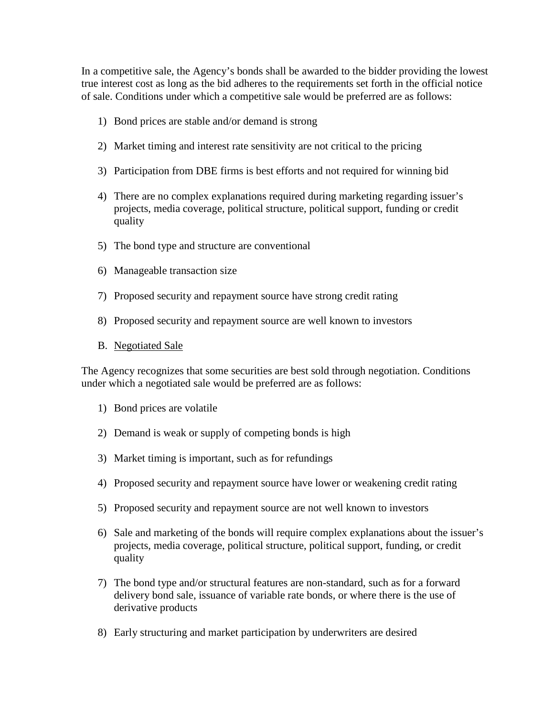In a competitive sale, the Agency's bonds shall be awarded to the bidder providing the lowest true interest cost as long as the bid adheres to the requirements set forth in the official notice of sale. Conditions under which a competitive sale would be preferred are as follows:

- 1) Bond prices are stable and/or demand is strong
- 2) Market timing and interest rate sensitivity are not critical to the pricing
- 3) Participation from DBE firms is best efforts and not required for winning bid
- 4) There are no complex explanations required during marketing regarding issuer's projects, media coverage, political structure, political support, funding or credit quality
- 5) The bond type and structure are conventional
- 6) Manageable transaction size
- 7) Proposed security and repayment source have strong credit rating
- 8) Proposed security and repayment source are well known to investors
- B. Negotiated Sale

The Agency recognizes that some securities are best sold through negotiation. Conditions under which a negotiated sale would be preferred are as follows:

- 1) Bond prices are volatile
- 2) Demand is weak or supply of competing bonds is high
- 3) Market timing is important, such as for refundings
- 4) Proposed security and repayment source have lower or weakening credit rating
- 5) Proposed security and repayment source are not well known to investors
- 6) Sale and marketing of the bonds will require complex explanations about the issuer's projects, media coverage, political structure, political support, funding, or credit quality
- 7) The bond type and/or structural features are non-standard, such as for a forward delivery bond sale, issuance of variable rate bonds, or where there is the use of derivative products
- 8) Early structuring and market participation by underwriters are desired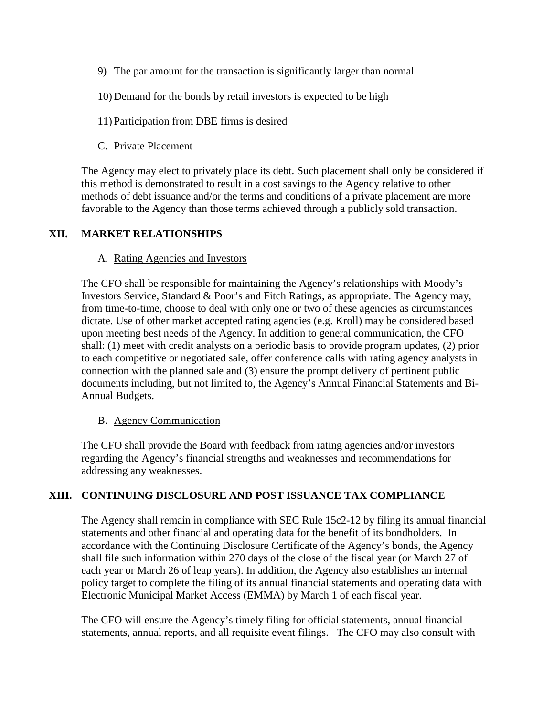- 9) The par amount for the transaction is significantly larger than normal
- 10) Demand for the bonds by retail investors is expected to be high
- 11) Participation from DBE firms is desired
- C. Private Placement

The Agency may elect to privately place its debt. Such placement shall only be considered if this method is demonstrated to result in a cost savings to the Agency relative to other methods of debt issuance and/or the terms and conditions of a private placement are more favorable to the Agency than those terms achieved through a publicly sold transaction.

#### **XII. MARKET RELATIONSHIPS**

#### A. Rating Agencies and Investors

The CFO shall be responsible for maintaining the Agency's relationships with Moody's Investors Service, Standard & Poor's and Fitch Ratings, as appropriate. The Agency may, from time-to-time, choose to deal with only one or two of these agencies as circumstances dictate. Use of other market accepted rating agencies (e.g. Kroll) may be considered based upon meeting best needs of the Agency. In addition to general communication, the CFO shall: (1) meet with credit analysts on a periodic basis to provide program updates, (2) prior to each competitive or negotiated sale, offer conference calls with rating agency analysts in connection with the planned sale and (3) ensure the prompt delivery of pertinent public documents including, but not limited to, the Agency's Annual Financial Statements and Bi-Annual Budgets.

#### B. Agency Communication

The CFO shall provide the Board with feedback from rating agencies and/or investors regarding the Agency's financial strengths and weaknesses and recommendations for addressing any weaknesses.

#### **XIII. CONTINUING DISCLOSURE AND POST ISSUANCE TAX COMPLIANCE**

The Agency shall remain in compliance with SEC Rule 15c2-12 by filing its annual financial statements and other financial and operating data for the benefit of its bondholders. In accordance with the Continuing Disclosure Certificate of the Agency's bonds, the Agency shall file such information within 270 days of the close of the fiscal year (or March 27 of each year or March 26 of leap years). In addition, the Agency also establishes an internal policy target to complete the filing of its annual financial statements and operating data with Electronic Municipal Market Access (EMMA) by March 1 of each fiscal year.

The CFO will ensure the Agency's timely filing for official statements, annual financial statements, annual reports, and all requisite event filings. The CFO may also consult with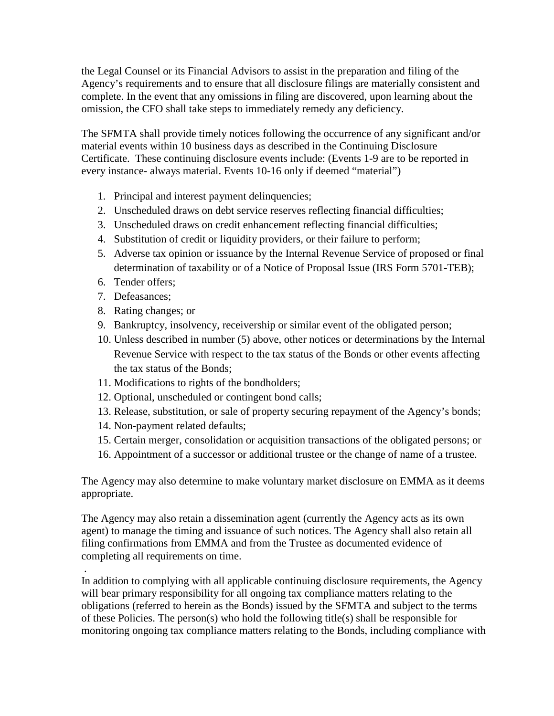the Legal Counsel or its Financial Advisors to assist in the preparation and filing of the Agency's requirements and to ensure that all disclosure filings are materially consistent and complete. In the event that any omissions in filing are discovered, upon learning about the omission, the CFO shall take steps to immediately remedy any deficiency.

The SFMTA shall provide timely notices following the occurrence of any significant and/or material events within 10 business days as described in the Continuing Disclosure Certificate. These continuing disclosure events include: (Events 1-9 are to be reported in every instance- always material. Events 10-16 only if deemed "material")

- 1. Principal and interest payment delinquencies;
- 2. Unscheduled draws on debt service reserves reflecting financial difficulties;
- 3. Unscheduled draws on credit enhancement reflecting financial difficulties;
- 4. Substitution of credit or liquidity providers, or their failure to perform;
- 5. Adverse tax opinion or issuance by the Internal Revenue Service of proposed or final determination of taxability or of a Notice of Proposal Issue (IRS Form 5701-TEB);
- 6. Tender offers;
- 7. Defeasances;
- 8. Rating changes; or
- 9. Bankruptcy, insolvency, receivership or similar event of the obligated person;
- 10. Unless described in number (5) above, other notices or determinations by the Internal Revenue Service with respect to the tax status of the Bonds or other events affecting the tax status of the Bonds;
- 11. Modifications to rights of the bondholders;
- 12. Optional, unscheduled or contingent bond calls;
- 13. Release, substitution, or sale of property securing repayment of the Agency's bonds;
- 14. Non-payment related defaults;
- 15. Certain merger, consolidation or acquisition transactions of the obligated persons; or
- 16. Appointment of a successor or additional trustee or the change of name of a trustee.

The Agency may also determine to make voluntary market disclosure on EMMA as it deems appropriate.

The Agency may also retain a dissemination agent (currently the Agency acts as its own agent) to manage the timing and issuance of such notices. The Agency shall also retain all filing confirmations from EMMA and from the Trustee as documented evidence of completing all requirements on time.

. In addition to complying with all applicable continuing disclosure requirements, the Agency will bear primary responsibility for all ongoing tax compliance matters relating to the obligations (referred to herein as the Bonds) issued by the SFMTA and subject to the terms of these Policies. The person(s) who hold the following title(s) shall be responsible for monitoring ongoing tax compliance matters relating to the Bonds, including compliance with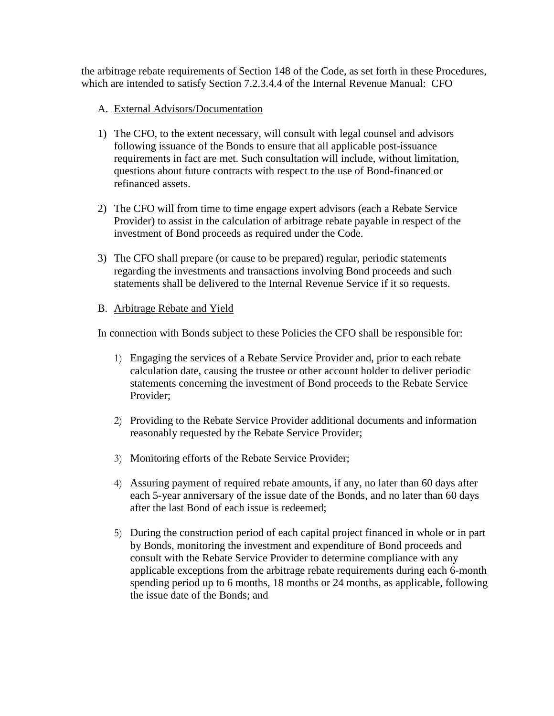the arbitrage rebate requirements of Section 148 of the Code, as set forth in these Procedures, which are intended to satisfy Section 7.2.3.4.4 of the Internal Revenue Manual: CFO

## A. External Advisors/Documentation

- 1) The CFO, to the extent necessary, will consult with legal counsel and advisors following issuance of the Bonds to ensure that all applicable post-issuance requirements in fact are met. Such consultation will include, without limitation, questions about future contracts with respect to the use of Bond-financed or refinanced assets.
- 2) The CFO will from time to time engage expert advisors (each a Rebate Service Provider) to assist in the calculation of arbitrage rebate payable in respect of the investment of Bond proceeds as required under the Code.
- 3) The CFO shall prepare (or cause to be prepared) regular, periodic statements regarding the investments and transactions involving Bond proceeds and such statements shall be delivered to the Internal Revenue Service if it so requests.

## B. Arbitrage Rebate and Yield

In connection with Bonds subject to these Policies the CFO shall be responsible for:

- 1) Engaging the services of a Rebate Service Provider and, prior to each rebate calculation date, causing the trustee or other account holder to deliver periodic statements concerning the investment of Bond proceeds to the Rebate Service Provider;
- 2) Providing to the Rebate Service Provider additional documents and information reasonably requested by the Rebate Service Provider;
- 3) Monitoring efforts of the Rebate Service Provider;
- 4) Assuring payment of required rebate amounts, if any, no later than 60 days after each 5-year anniversary of the issue date of the Bonds, and no later than 60 days after the last Bond of each issue is redeemed;
- 5) During the construction period of each capital project financed in whole or in part by Bonds, monitoring the investment and expenditure of Bond proceeds and consult with the Rebate Service Provider to determine compliance with any applicable exceptions from the arbitrage rebate requirements during each 6-month spending period up to 6 months, 18 months or 24 months, as applicable, following the issue date of the Bonds; and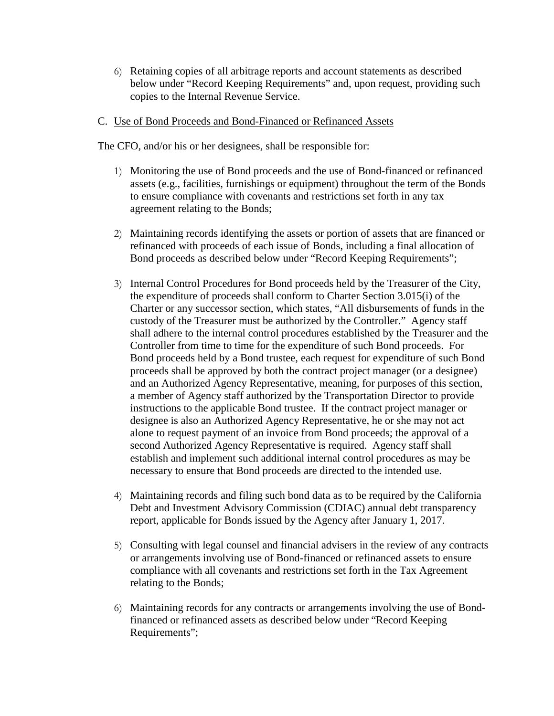6) Retaining copies of all arbitrage reports and account statements as described below under "Record Keeping Requirements" and, upon request, providing such copies to the Internal Revenue Service.

#### C. Use of Bond Proceeds and Bond-Financed or Refinanced Assets

The CFO, and/or his or her designees, shall be responsible for:

- 1) Monitoring the use of Bond proceeds and the use of Bond-financed or refinanced assets (e.g., facilities, furnishings or equipment) throughout the term of the Bonds to ensure compliance with covenants and restrictions set forth in any tax agreement relating to the Bonds;
- 2) Maintaining records identifying the assets or portion of assets that are financed or refinanced with proceeds of each issue of Bonds, including a final allocation of Bond proceeds as described below under "Record Keeping Requirements";
- 3) Internal Control Procedures for Bond proceeds held by the Treasurer of the City, the expenditure of proceeds shall conform to Charter Section 3.015(i) of the Charter or any successor section, which states, "All disbursements of funds in the custody of the Treasurer must be authorized by the Controller." Agency staff shall adhere to the internal control procedures established by the Treasurer and the Controller from time to time for the expenditure of such Bond proceeds. For Bond proceeds held by a Bond trustee, each request for expenditure of such Bond proceeds shall be approved by both the contract project manager (or a designee) and an Authorized Agency Representative, meaning, for purposes of this section, a member of Agency staff authorized by the Transportation Director to provide instructions to the applicable Bond trustee. If the contract project manager or designee is also an Authorized Agency Representative, he or she may not act alone to request payment of an invoice from Bond proceeds; the approval of a second Authorized Agency Representative is required. Agency staff shall establish and implement such additional internal control procedures as may be necessary to ensure that Bond proceeds are directed to the intended use.
- 4) Maintaining records and filing such bond data as to be required by the California Debt and Investment Advisory Commission (CDIAC) annual debt transparency report, applicable for Bonds issued by the Agency after January 1, 2017.
- 5) Consulting with legal counsel and financial advisers in the review of any contracts or arrangements involving use of Bond-financed or refinanced assets to ensure compliance with all covenants and restrictions set forth in the Tax Agreement relating to the Bonds;
- 6) Maintaining records for any contracts or arrangements involving the use of Bondfinanced or refinanced assets as described below under "Record Keeping Requirements";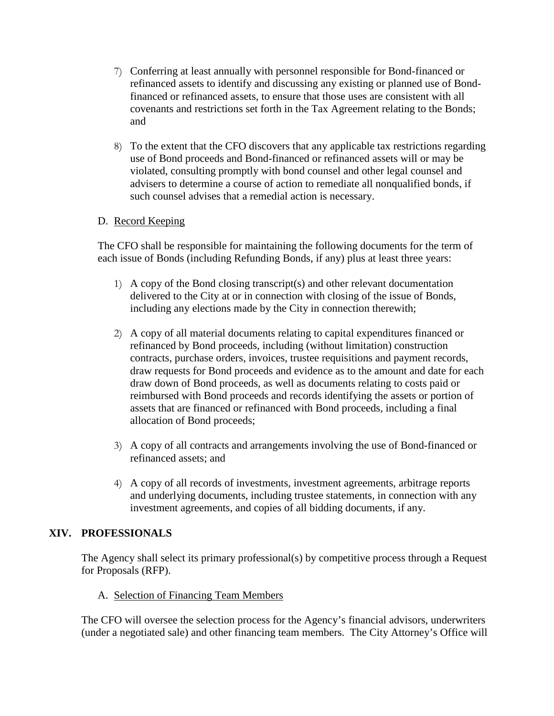- 7) Conferring at least annually with personnel responsible for Bond-financed or refinanced assets to identify and discussing any existing or planned use of Bondfinanced or refinanced assets, to ensure that those uses are consistent with all covenants and restrictions set forth in the Tax Agreement relating to the Bonds; and
- 8) To the extent that the CFO discovers that any applicable tax restrictions regarding use of Bond proceeds and Bond-financed or refinanced assets will or may be violated, consulting promptly with bond counsel and other legal counsel and advisers to determine a course of action to remediate all nonqualified bonds, if such counsel advises that a remedial action is necessary.

#### D. Record Keeping

The CFO shall be responsible for maintaining the following documents for the term of each issue of Bonds (including Refunding Bonds, if any) plus at least three years:

- 1) A copy of the Bond closing transcript(s) and other relevant documentation delivered to the City at or in connection with closing of the issue of Bonds, including any elections made by the City in connection therewith;
- 2) A copy of all material documents relating to capital expenditures financed or refinanced by Bond proceeds, including (without limitation) construction contracts, purchase orders, invoices, trustee requisitions and payment records, draw requests for Bond proceeds and evidence as to the amount and date for each draw down of Bond proceeds, as well as documents relating to costs paid or reimbursed with Bond proceeds and records identifying the assets or portion of assets that are financed or refinanced with Bond proceeds, including a final allocation of Bond proceeds;
- 3) A copy of all contracts and arrangements involving the use of Bond-financed or refinanced assets; and
- 4) A copy of all records of investments, investment agreements, arbitrage reports and underlying documents, including trustee statements, in connection with any investment agreements, and copies of all bidding documents, if any.

#### **XIV. PROFESSIONALS**

The Agency shall select its primary professional(s) by competitive process through a Request for Proposals (RFP).

A. Selection of Financing Team Members

The CFO will oversee the selection process for the Agency's financial advisors, underwriters (under a negotiated sale) and other financing team members. The City Attorney's Office will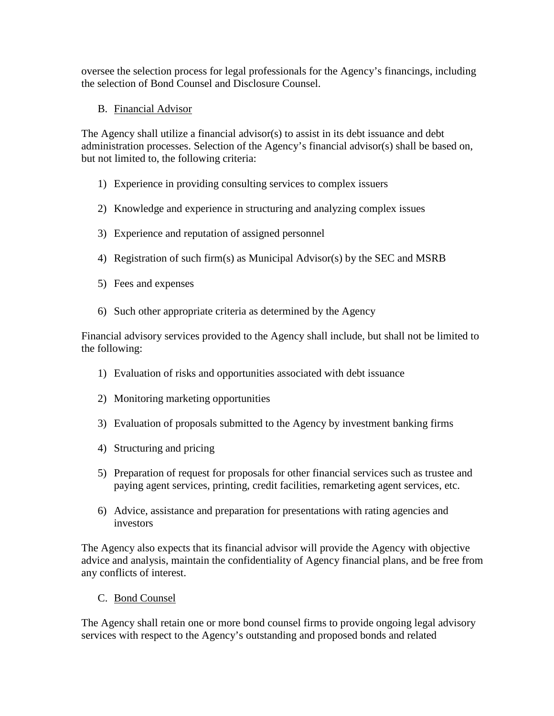oversee the selection process for legal professionals for the Agency's financings, including the selection of Bond Counsel and Disclosure Counsel.

B. Financial Advisor

The Agency shall utilize a financial advisor(s) to assist in its debt issuance and debt administration processes. Selection of the Agency's financial advisor(s) shall be based on, but not limited to, the following criteria:

- 1) Experience in providing consulting services to complex issuers
- 2) Knowledge and experience in structuring and analyzing complex issues
- 3) Experience and reputation of assigned personnel
- 4) Registration of such firm(s) as Municipal Advisor(s) by the SEC and MSRB
- 5) Fees and expenses
- 6) Such other appropriate criteria as determined by the Agency

Financial advisory services provided to the Agency shall include, but shall not be limited to the following:

- 1) Evaluation of risks and opportunities associated with debt issuance
- 2) Monitoring marketing opportunities
- 3) Evaluation of proposals submitted to the Agency by investment banking firms
- 4) Structuring and pricing
- 5) Preparation of request for proposals for other financial services such as trustee and paying agent services, printing, credit facilities, remarketing agent services, etc.
- 6) Advice, assistance and preparation for presentations with rating agencies and investors

The Agency also expects that its financial advisor will provide the Agency with objective advice and analysis, maintain the confidentiality of Agency financial plans, and be free from any conflicts of interest.

C. Bond Counsel

The Agency shall retain one or more bond counsel firms to provide ongoing legal advisory services with respect to the Agency's outstanding and proposed bonds and related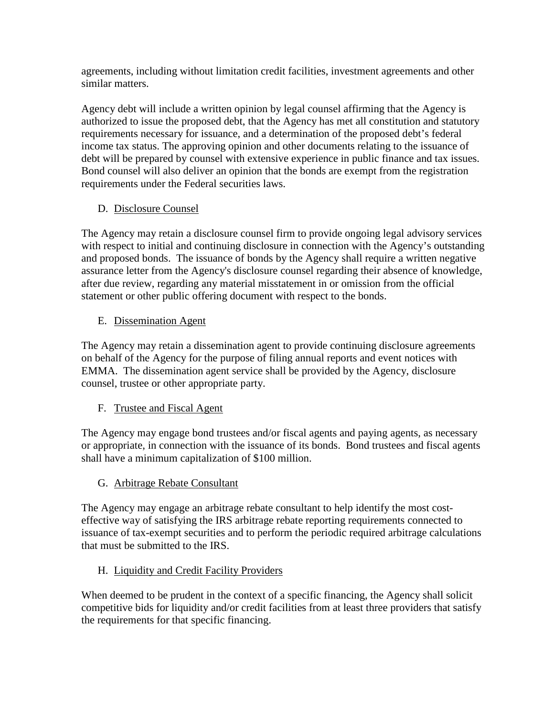agreements, including without limitation credit facilities, investment agreements and other similar matters.

Agency debt will include a written opinion by legal counsel affirming that the Agency is authorized to issue the proposed debt, that the Agency has met all constitution and statutory requirements necessary for issuance, and a determination of the proposed debt's federal income tax status. The approving opinion and other documents relating to the issuance of debt will be prepared by counsel with extensive experience in public finance and tax issues. Bond counsel will also deliver an opinion that the bonds are exempt from the registration requirements under the Federal securities laws.

# D. Disclosure Counsel

The Agency may retain a disclosure counsel firm to provide ongoing legal advisory services with respect to initial and continuing disclosure in connection with the Agency's outstanding and proposed bonds. The issuance of bonds by the Agency shall require a written negative assurance letter from the Agency's disclosure counsel regarding their absence of knowledge, after due review, regarding any material misstatement in or omission from the official statement or other public offering document with respect to the bonds.

# E. Dissemination Agent

The Agency may retain a dissemination agent to provide continuing disclosure agreements on behalf of the Agency for the purpose of filing annual reports and event notices with EMMA. The dissemination agent service shall be provided by the Agency, disclosure counsel, trustee or other appropriate party.

# F. Trustee and Fiscal Agent

The Agency may engage bond trustees and/or fiscal agents and paying agents, as necessary or appropriate, in connection with the issuance of its bonds. Bond trustees and fiscal agents shall have a minimum capitalization of \$100 million.

# G. Arbitrage Rebate Consultant

The Agency may engage an arbitrage rebate consultant to help identify the most costeffective way of satisfying the IRS arbitrage rebate reporting requirements connected to issuance of tax-exempt securities and to perform the periodic required arbitrage calculations that must be submitted to the IRS.

# H. Liquidity and Credit Facility Providers

When deemed to be prudent in the context of a specific financing, the Agency shall solicit competitive bids for liquidity and/or credit facilities from at least three providers that satisfy the requirements for that specific financing.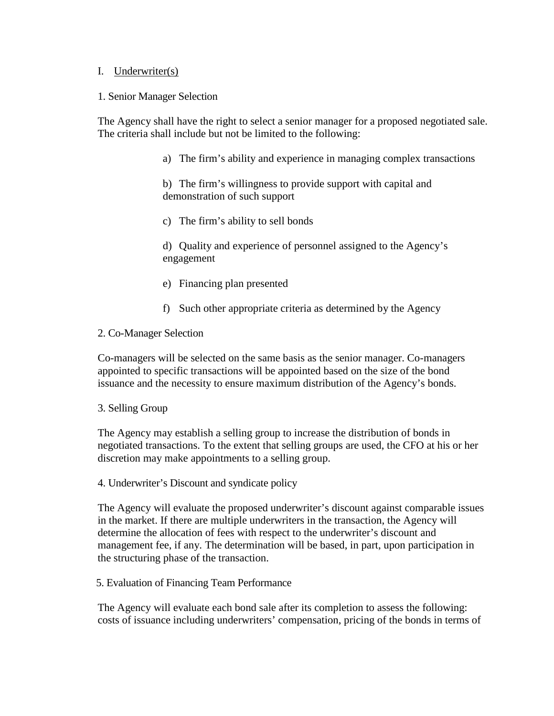#### I. Underwriter(s)

#### 1. Senior Manager Selection

The Agency shall have the right to select a senior manager for a proposed negotiated sale. The criteria shall include but not be limited to the following:

a) The firm's ability and experience in managing complex transactions

b) The firm's willingness to provide support with capital and demonstration of such support

c) The firm's ability to sell bonds

d) Quality and experience of personnel assigned to the Agency's engagement

- e) Financing plan presented
- f) Such other appropriate criteria as determined by the Agency

#### 2. Co-Manager Selection

Co-managers will be selected on the same basis as the senior manager. Co-managers appointed to specific transactions will be appointed based on the size of the bond issuance and the necessity to ensure maximum distribution of the Agency's bonds.

#### 3. Selling Group

The Agency may establish a selling group to increase the distribution of bonds in negotiated transactions. To the extent that selling groups are used, the CFO at his or her discretion may make appointments to a selling group.

4. Underwriter's Discount and syndicate policy

The Agency will evaluate the proposed underwriter's discount against comparable issues in the market. If there are multiple underwriters in the transaction, the Agency will determine the allocation of fees with respect to the underwriter's discount and management fee, if any. The determination will be based, in part, upon participation in the structuring phase of the transaction.

#### 5. Evaluation of Financing Team Performance

The Agency will evaluate each bond sale after its completion to assess the following: costs of issuance including underwriters' compensation, pricing of the bonds in terms of